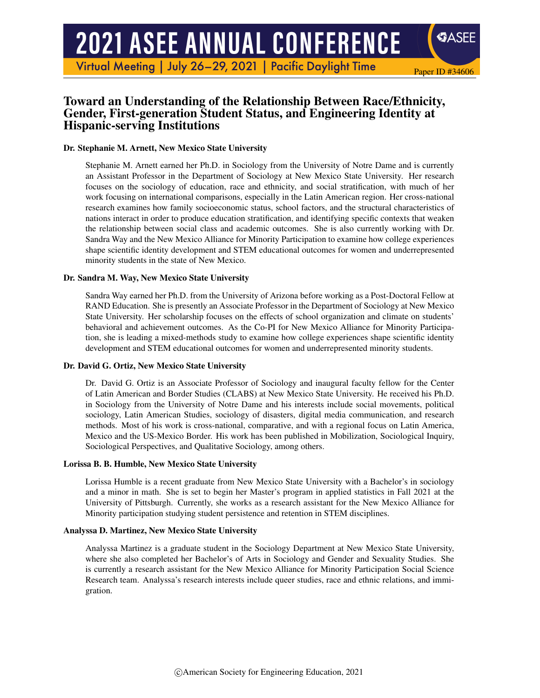# **2021 ASEE ANNUAL CONFERENCE**

Virtual Meeting | July 26-29, 2021 | Pacific Daylight Time

# Toward an Understanding of the Relationship Between Race/Ethnicity, Gender, First-generation Student Status, and Engineering Identity at Hispanic-serving Institutions

Paper ID #34606

**SASEE** 

#### Dr. Stephanie M. Arnett, New Mexico State University

Stephanie M. Arnett earned her Ph.D. in Sociology from the University of Notre Dame and is currently an Assistant Professor in the Department of Sociology at New Mexico State University. Her research focuses on the sociology of education, race and ethnicity, and social stratification, with much of her work focusing on international comparisons, especially in the Latin American region. Her cross-national research examines how family socioeconomic status, school factors, and the structural characteristics of nations interact in order to produce education stratification, and identifying specific contexts that weaken the relationship between social class and academic outcomes. She is also currently working with Dr. Sandra Way and the New Mexico Alliance for Minority Participation to examine how college experiences shape scientific identity development and STEM educational outcomes for women and underrepresented minority students in the state of New Mexico.

#### Dr. Sandra M. Way, New Mexico State University

Sandra Way earned her Ph.D. from the University of Arizona before working as a Post-Doctoral Fellow at RAND Education. She is presently an Associate Professor in the Department of Sociology at New Mexico State University. Her scholarship focuses on the effects of school organization and climate on students' behavioral and achievement outcomes. As the Co-PI for New Mexico Alliance for Minority Participation, she is leading a mixed-methods study to examine how college experiences shape scientific identity development and STEM educational outcomes for women and underrepresented minority students.

#### Dr. David G. Ortiz, New Mexico State University

Dr. David G. Ortiz is an Associate Professor of Sociology and inaugural faculty fellow for the Center of Latin American and Border Studies (CLABS) at New Mexico State University. He received his Ph.D. in Sociology from the University of Notre Dame and his interests include social movements, political sociology, Latin American Studies, sociology of disasters, digital media communication, and research methods. Most of his work is cross-national, comparative, and with a regional focus on Latin America, Mexico and the US-Mexico Border. His work has been published in Mobilization, Sociological Inquiry, Sociological Perspectives, and Qualitative Sociology, among others.

#### Lorissa B. B. Humble, New Mexico State University

Lorissa Humble is a recent graduate from New Mexico State University with a Bachelor's in sociology and a minor in math. She is set to begin her Master's program in applied statistics in Fall 2021 at the University of Pittsburgh. Currently, she works as a research assistant for the New Mexico Alliance for Minority participation studying student persistence and retention in STEM disciplines.

#### Analyssa D. Martinez, New Mexico State University

Analyssa Martinez is a graduate student in the Sociology Department at New Mexico State University, where she also completed her Bachelor's of Arts in Sociology and Gender and Sexuality Studies. She is currently a research assistant for the New Mexico Alliance for Minority Participation Social Science Research team. Analyssa's research interests include queer studies, race and ethnic relations, and immigration.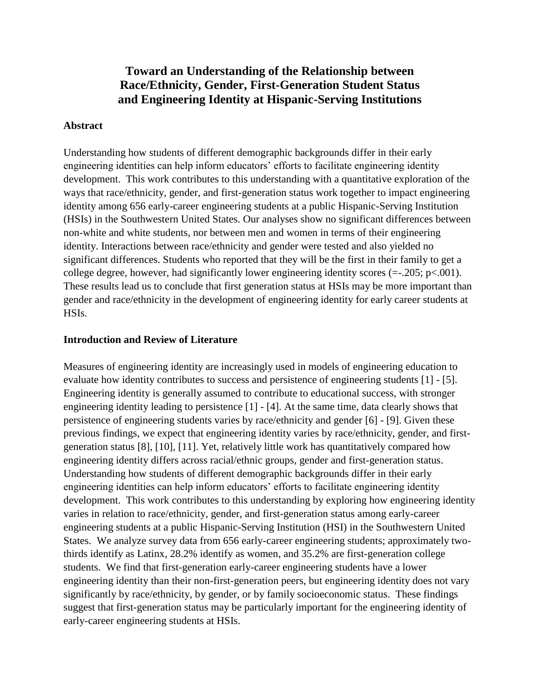# **Toward an Understanding of the Relationship between Race/Ethnicity, Gender, First-Generation Student Status and Engineering Identity at Hispanic-Serving Institutions**

#### **Abstract**

Understanding how students of different demographic backgrounds differ in their early engineering identities can help inform educators' efforts to facilitate engineering identity development. This work contributes to this understanding with a quantitative exploration of the ways that race/ethnicity, gender, and first-generation status work together to impact engineering identity among 656 early-career engineering students at a public Hispanic-Serving Institution (HSIs) in the Southwestern United States. Our analyses show no significant differences between non-white and white students, nor between men and women in terms of their engineering identity. Interactions between race/ethnicity and gender were tested and also yielded no significant differences. Students who reported that they will be the first in their family to get a college degree, however, had significantly lower engineering identity scores  $(=205; p<.001)$ . These results lead us to conclude that first generation status at HSIs may be more important than gender and race/ethnicity in the development of engineering identity for early career students at HSIs.

#### **Introduction and Review of Literature**

Measures of engineering identity are increasingly used in models of engineering education to evaluate how identity contributes to success and persistence of engineering students [1] - [5]. Engineering identity is generally assumed to contribute to educational success, with stronger engineering identity leading to persistence [1] - [4]. At the same time, data clearly shows that persistence of engineering students varies by race/ethnicity and gender [6] - [9]. Given these previous findings, we expect that engineering identity varies by race/ethnicity, gender, and firstgeneration status [8], [10], [11]. Yet, relatively little work has quantitatively compared how engineering identity differs across racial/ethnic groups, gender and first-generation status. Understanding how students of different demographic backgrounds differ in their early engineering identities can help inform educators' efforts to facilitate engineering identity development. This work contributes to this understanding by exploring how engineering identity varies in relation to race/ethnicity, gender, and first-generation status among early-career engineering students at a public Hispanic-Serving Institution (HSI) in the Southwestern United States. We analyze survey data from 656 early-career engineering students; approximately twothirds identify as Latinx, 28.2% identify as women, and 35.2% are first-generation college students. We find that first-generation early-career engineering students have a lower engineering identity than their non-first-generation peers, but engineering identity does not vary significantly by race/ethnicity, by gender, or by family socioeconomic status. These findings suggest that first-generation status may be particularly important for the engineering identity of early-career engineering students at HSIs.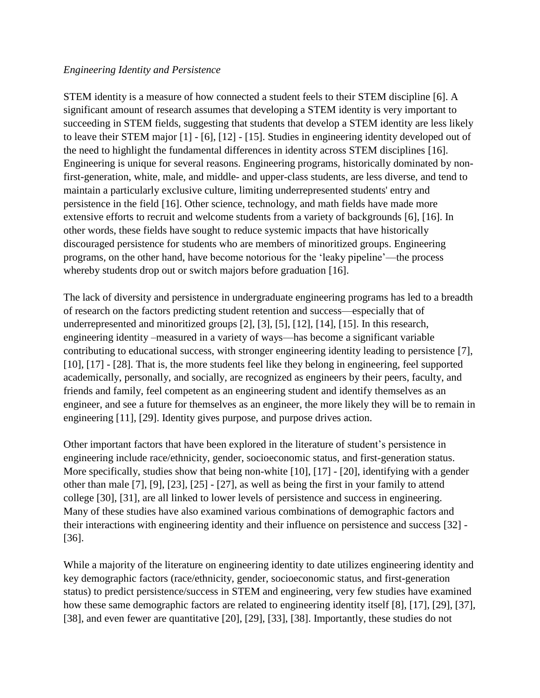### *Engineering Identity and Persistence*

STEM identity is a measure of how connected a student feels to their STEM discipline [6]. A significant amount of research assumes that developing a STEM identity is very important to succeeding in STEM fields, suggesting that students that develop a STEM identity are less likely to leave their STEM major [1] - [6], [12] - [15]. Studies in engineering identity developed out of the need to highlight the fundamental differences in identity across STEM disciplines [16]. Engineering is unique for several reasons. Engineering programs, historically dominated by nonfirst-generation, white, male, and middle- and upper-class students, are less diverse, and tend to maintain a particularly exclusive culture, limiting underrepresented students' entry and persistence in the field [16]. Other science, technology, and math fields have made more extensive efforts to recruit and welcome students from a variety of backgrounds [6], [16]. In other words, these fields have sought to reduce systemic impacts that have historically discouraged persistence for students who are members of minoritized groups. Engineering programs, on the other hand, have become notorious for the 'leaky pipeline'—the process whereby students drop out or switch majors before graduation [16].

The lack of diversity and persistence in undergraduate engineering programs has led to a breadth of research on the factors predicting student retention and success—especially that of underrepresented and minoritized groups [2], [3], [5], [12], [14], [15]. In this research, engineering identity –measured in a variety of ways—has become a significant variable contributing to educational success, with stronger engineering identity leading to persistence [7], [10], [17] - [28]. That is, the more students feel like they belong in engineering, feel supported academically, personally, and socially, are recognized as engineers by their peers, faculty, and friends and family, feel competent as an engineering student and identify themselves as an engineer, and see a future for themselves as an engineer, the more likely they will be to remain in engineering [11], [29]. Identity gives purpose, and purpose drives action.

Other important factors that have been explored in the literature of student's persistence in engineering include race/ethnicity, gender, socioeconomic status, and first-generation status. More specifically, studies show that being non-white [10], [17] - [20], identifying with a gender other than male [7], [9], [23], [25] - [27], as well as being the first in your family to attend college [30], [31], are all linked to lower levels of persistence and success in engineering. Many of these studies have also examined various combinations of demographic factors and their interactions with engineering identity and their influence on persistence and success [32] - [36].

While a majority of the literature on engineering identity to date utilizes engineering identity and key demographic factors (race/ethnicity, gender, socioeconomic status, and first-generation status) to predict persistence/success in STEM and engineering, very few studies have examined how these same demographic factors are related to engineering identity itself [8], [17], [29], [37], [38], and even fewer are quantitative [20], [29], [33], [38]. Importantly, these studies do not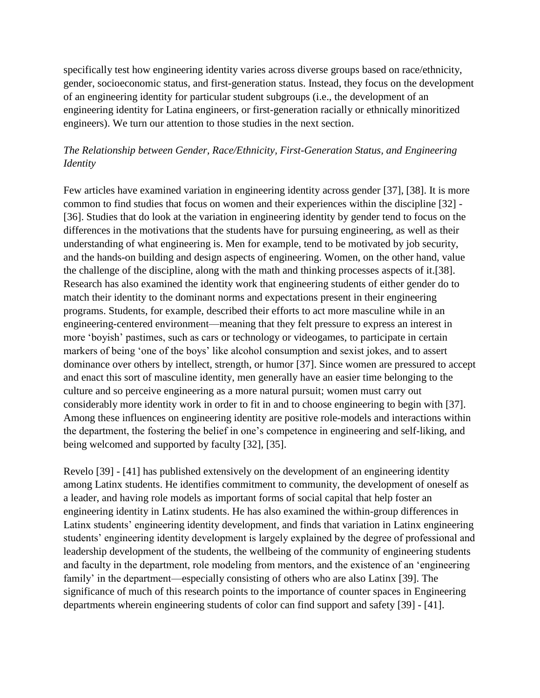specifically test how engineering identity varies across diverse groups based on race/ethnicity, gender, socioeconomic status, and first-generation status. Instead, they focus on the development of an engineering identity for particular student subgroups (i.e., the development of an engineering identity for Latina engineers, or first-generation racially or ethnically minoritized engineers). We turn our attention to those studies in the next section.

## *The Relationship between Gender, Race/Ethnicity, First-Generation Status, and Engineering Identity*

Few articles have examined variation in engineering identity across gender [37], [38]. It is more common to find studies that focus on women and their experiences within the discipline [32] - [36]. Studies that do look at the variation in engineering identity by gender tend to focus on the differences in the motivations that the students have for pursuing engineering, as well as their understanding of what engineering is. Men for example, tend to be motivated by job security, and the hands-on building and design aspects of engineering. Women, on the other hand, value the challenge of the discipline, along with the math and thinking processes aspects of it.[38]. Research has also examined the identity work that engineering students of either gender do to match their identity to the dominant norms and expectations present in their engineering programs. Students, for example, described their efforts to act more masculine while in an engineering-centered environment—meaning that they felt pressure to express an interest in more 'boyish' pastimes, such as cars or technology or videogames, to participate in certain markers of being 'one of the boys' like alcohol consumption and sexist jokes, and to assert dominance over others by intellect, strength, or humor [37]. Since women are pressured to accept and enact this sort of masculine identity, men generally have an easier time belonging to the culture and so perceive engineering as a more natural pursuit; women must carry out considerably more identity work in order to fit in and to choose engineering to begin with [37]. Among these influences on engineering identity are positive role-models and interactions within the department, the fostering the belief in one's competence in engineering and self-liking, and being welcomed and supported by faculty [32], [35].

Revelo [39] - [41] has published extensively on the development of an engineering identity among Latinx students. He identifies commitment to community, the development of oneself as a leader, and having role models as important forms of social capital that help foster an engineering identity in Latinx students. He has also examined the within-group differences in Latinx students' engineering identity development, and finds that variation in Latinx engineering students' engineering identity development is largely explained by the degree of professional and leadership development of the students, the wellbeing of the community of engineering students and faculty in the department, role modeling from mentors, and the existence of an 'engineering family' in the department—especially consisting of others who are also Latinx [39]. The significance of much of this research points to the importance of counter spaces in Engineering departments wherein engineering students of color can find support and safety [39] - [41].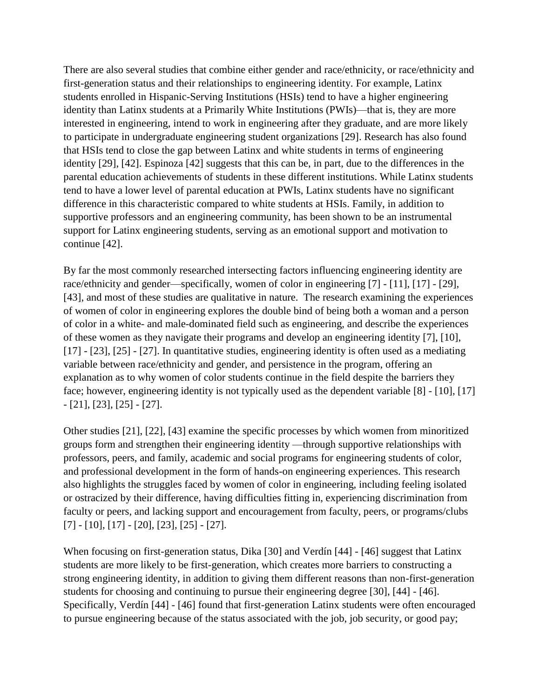There are also several studies that combine either gender and race/ethnicity, or race/ethnicity and first-generation status and their relationships to engineering identity. For example, Latinx students enrolled in Hispanic-Serving Institutions (HSIs) tend to have a higher engineering identity than Latinx students at a Primarily White Institutions (PWIs)—that is, they are more interested in engineering, intend to work in engineering after they graduate, and are more likely to participate in undergraduate engineering student organizations [29]. Research has also found that HSIs tend to close the gap between Latinx and white students in terms of engineering identity [29], [42]. Espinoza [42] suggests that this can be, in part, due to the differences in the parental education achievements of students in these different institutions. While Latinx students tend to have a lower level of parental education at PWIs, Latinx students have no significant difference in this characteristic compared to white students at HSIs. Family, in addition to supportive professors and an engineering community, has been shown to be an instrumental support for Latinx engineering students, serving as an emotional support and motivation to continue [42].

By far the most commonly researched intersecting factors influencing engineering identity are race/ethnicity and gender—specifically, women of color in engineering [7] - [11], [17] - [29], [43], and most of these studies are qualitative in nature. The research examining the experiences of women of color in engineering explores the double bind of being both a woman and a person of color in a white- and male-dominated field such as engineering, and describe the experiences of these women as they navigate their programs and develop an engineering identity [7], [10], [17] - [23], [25] - [27]. In quantitative studies, engineering identity is often used as a mediating variable between race/ethnicity and gender, and persistence in the program, offering an explanation as to why women of color students continue in the field despite the barriers they face; however, engineering identity is not typically used as the dependent variable [8] - [10], [17] - [21], [23], [25] - [27].

Other studies [21], [22], [43] examine the specific processes by which women from minoritized groups form and strengthen their engineering identity —through supportive relationships with professors, peers, and family, academic and social programs for engineering students of color, and professional development in the form of hands-on engineering experiences. This research also highlights the struggles faced by women of color in engineering, including feeling isolated or ostracized by their difference, having difficulties fitting in, experiencing discrimination from faculty or peers, and lacking support and encouragement from faculty, peers, or programs/clubs [7] - [10], [17] - [20], [23], [25] - [27].

When focusing on first-generation status, Dika [30] and Verdín [44] - [46] suggest that Latinx students are more likely to be first-generation, which creates more barriers to constructing a strong engineering identity, in addition to giving them different reasons than non-first-generation students for choosing and continuing to pursue their engineering degree [30], [44] - [46]. Specifically, Verdín [44] - [46] found that first-generation Latinx students were often encouraged to pursue engineering because of the status associated with the job, job security, or good pay;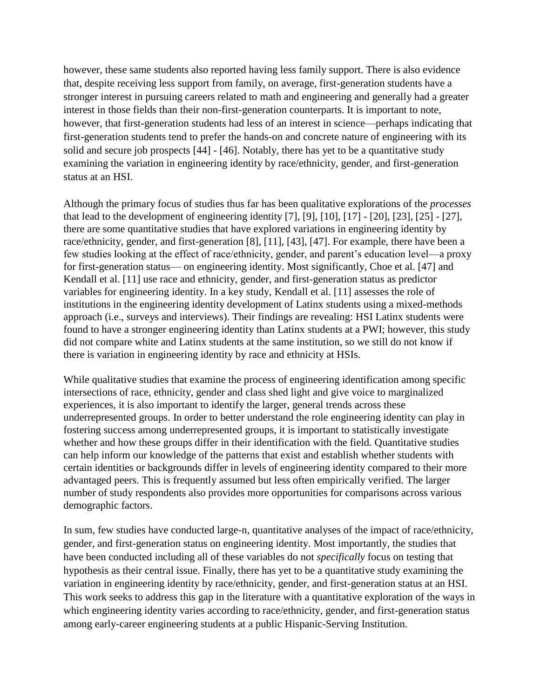however, these same students also reported having less family support. There is also evidence that, despite receiving less support from family, on average, first-generation students have a stronger interest in pursuing careers related to math and engineering and generally had a greater interest in those fields than their non-first-generation counterparts. It is important to note, however, that first-generation students had less of an interest in science—perhaps indicating that first-generation students tend to prefer the hands-on and concrete nature of engineering with its solid and secure job prospects [44] - [46]. Notably, there has yet to be a quantitative study examining the variation in engineering identity by race/ethnicity, gender, and first-generation status at an HSI.

Although the primary focus of studies thus far has been qualitative explorations of the *processes* that lead to the development of engineering identity [7], [9], [10], [17] - [20], [23], [25] - [27], there are some quantitative studies that have explored variations in engineering identity by race/ethnicity, gender, and first-generation [8], [11], [43], [47]. For example, there have been a few studies looking at the effect of race/ethnicity, gender, and parent's education level—a proxy for first-generation status— on engineering identity. Most significantly, Choe et al. [47] and Kendall et al. [11] use race and ethnicity, gender, and first-generation status as predictor variables for engineering identity. In a key study, Kendall et al. [11] assesses the role of institutions in the engineering identity development of Latinx students using a mixed-methods approach (i.e., surveys and interviews). Their findings are revealing: HSI Latinx students were found to have a stronger engineering identity than Latinx students at a PWI; however, this study did not compare white and Latinx students at the same institution, so we still do not know if there is variation in engineering identity by race and ethnicity at HSIs.

While qualitative studies that examine the process of engineering identification among specific intersections of race, ethnicity, gender and class shed light and give voice to marginalized experiences, it is also important to identify the larger, general trends across these underrepresented groups. In order to better understand the role engineering identity can play in fostering success among underrepresented groups, it is important to statistically investigate whether and how these groups differ in their identification with the field. Quantitative studies can help inform our knowledge of the patterns that exist and establish whether students with certain identities or backgrounds differ in levels of engineering identity compared to their more advantaged peers. This is frequently assumed but less often empirically verified. The larger number of study respondents also provides more opportunities for comparisons across various demographic factors.

In sum, few studies have conducted large-n, quantitative analyses of the impact of race/ethnicity, gender, and first-generation status on engineering identity. Most importantly, the studies that have been conducted including all of these variables do not *specifically* focus on testing that hypothesis as their central issue. Finally, there has yet to be a quantitative study examining the variation in engineering identity by race/ethnicity, gender, and first-generation status at an HSI. This work seeks to address this gap in the literature with a quantitative exploration of the ways in which engineering identity varies according to race/ethnicity, gender, and first-generation status among early-career engineering students at a public Hispanic-Serving Institution.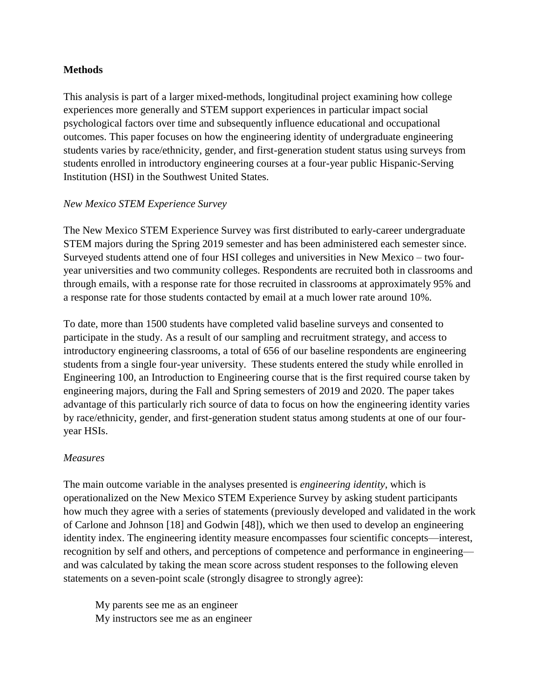## **Methods**

This analysis is part of a larger mixed-methods, longitudinal project examining how college experiences more generally and STEM support experiences in particular impact social psychological factors over time and subsequently influence educational and occupational outcomes. This paper focuses on how the engineering identity of undergraduate engineering students varies by race/ethnicity, gender, and first-generation student status using surveys from students enrolled in introductory engineering courses at a four-year public Hispanic-Serving Institution (HSI) in the Southwest United States.

## *New Mexico STEM Experience Survey*

The New Mexico STEM Experience Survey was first distributed to early-career undergraduate STEM majors during the Spring 2019 semester and has been administered each semester since. Surveyed students attend one of four HSI colleges and universities in New Mexico – two fouryear universities and two community colleges. Respondents are recruited both in classrooms and through emails, with a response rate for those recruited in classrooms at approximately 95% and a response rate for those students contacted by email at a much lower rate around 10%.

To date, more than 1500 students have completed valid baseline surveys and consented to participate in the study. As a result of our sampling and recruitment strategy, and access to introductory engineering classrooms, a total of 656 of our baseline respondents are engineering students from a single four-year university. These students entered the study while enrolled in Engineering 100, an Introduction to Engineering course that is the first required course taken by engineering majors, during the Fall and Spring semesters of 2019 and 2020. The paper takes advantage of this particularly rich source of data to focus on how the engineering identity varies by race/ethnicity, gender, and first-generation student status among students at one of our fouryear HSIs.

## *Measures*

The main outcome variable in the analyses presented is *engineering identity*, which is operationalized on the New Mexico STEM Experience Survey by asking student participants how much they agree with a series of statements (previously developed and validated in the work of Carlone and Johnson [18] and Godwin [48]), which we then used to develop an engineering identity index. The engineering identity measure encompasses four scientific concepts—interest, recognition by self and others, and perceptions of competence and performance in engineering and was calculated by taking the mean score across student responses to the following eleven statements on a seven-point scale (strongly disagree to strongly agree):

My parents see me as an engineer My instructors see me as an engineer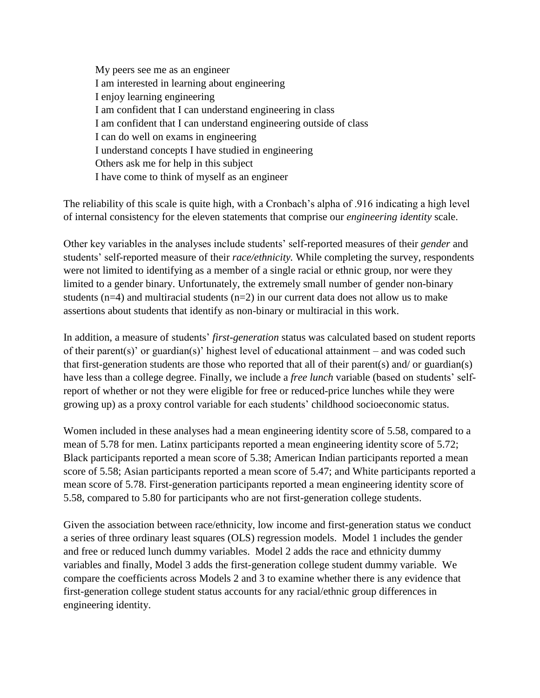My peers see me as an engineer I am interested in learning about engineering I enjoy learning engineering I am confident that I can understand engineering in class I am confident that I can understand engineering outside of class I can do well on exams in engineering I understand concepts I have studied in engineering Others ask me for help in this subject I have come to think of myself as an engineer

The reliability of this scale is quite high, with a Cronbach's alpha of .916 indicating a high level of internal consistency for the eleven statements that comprise our *engineering identity* scale.

Other key variables in the analyses include students' self-reported measures of their *gender* and students' self-reported measure of their *race/ethnicity.* While completing the survey, respondents were not limited to identifying as a member of a single racial or ethnic group, nor were they limited to a gender binary. Unfortunately, the extremely small number of gender non-binary students ( $n=4$ ) and multiracial students ( $n=2$ ) in our current data does not allow us to make assertions about students that identify as non-binary or multiracial in this work.

In addition, a measure of students' *first-generation* status was calculated based on student reports of their parent(s)' or guardian(s)' highest level of educational attainment – and was coded such that first-generation students are those who reported that all of their parent(s) and/ or guardian(s) have less than a college degree. Finally, we include a *free lunch* variable (based on students' selfreport of whether or not they were eligible for free or reduced-price lunches while they were growing up) as a proxy control variable for each students' childhood socioeconomic status.

Women included in these analyses had a mean engineering identity score of 5.58, compared to a mean of 5.78 for men. Latinx participants reported a mean engineering identity score of 5.72; Black participants reported a mean score of 5.38; American Indian participants reported a mean score of 5.58; Asian participants reported a mean score of 5.47; and White participants reported a mean score of 5.78. First-generation participants reported a mean engineering identity score of 5.58, compared to 5.80 for participants who are not first-generation college students.

Given the association between race/ethnicity, low income and first-generation status we conduct a series of three ordinary least squares (OLS) regression models. Model 1 includes the gender and free or reduced lunch dummy variables. Model 2 adds the race and ethnicity dummy variables and finally, Model 3 adds the first-generation college student dummy variable. We compare the coefficients across Models 2 and 3 to examine whether there is any evidence that first-generation college student status accounts for any racial/ethnic group differences in engineering identity.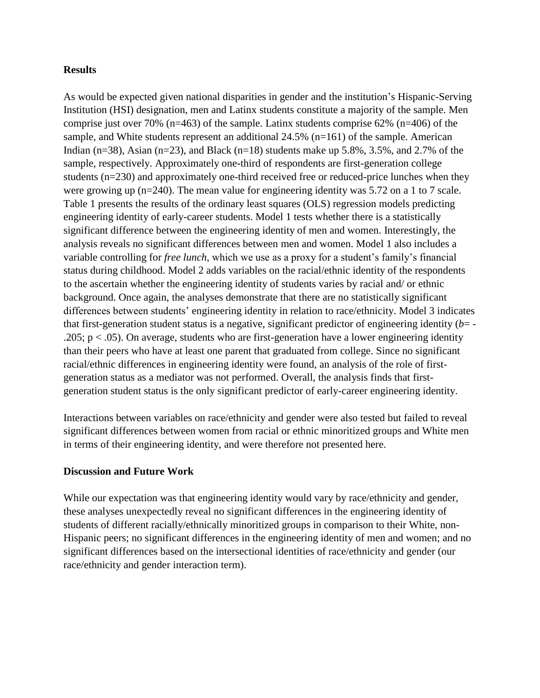#### **Results**

As would be expected given national disparities in gender and the institution's Hispanic-Serving Institution (HSI) designation, men and Latinx students constitute a majority of the sample. Men comprise just over 70% (n=463) of the sample. Latinx students comprise 62% (n=406) of the sample, and White students represent an additional 24.5% (n=161) of the sample. American Indian (n=38), Asian (n=23), and Black (n=18) students make up 5.8%, 3.5%, and 2.7% of the sample, respectively. Approximately one-third of respondents are first-generation college students (n=230) and approximately one-third received free or reduced-price lunches when they were growing up (n=240). The mean value for engineering identity was 5.72 on a 1 to 7 scale. Table 1 presents the results of the ordinary least squares (OLS) regression models predicting engineering identity of early-career students. Model 1 tests whether there is a statistically significant difference between the engineering identity of men and women. Interestingly, the analysis reveals no significant differences between men and women. Model 1 also includes a variable controlling for *free lunch*, which we use as a proxy for a student's family's financial status during childhood. Model 2 adds variables on the racial/ethnic identity of the respondents to the ascertain whether the engineering identity of students varies by racial and/ or ethnic background. Once again, the analyses demonstrate that there are no statistically significant differences between students' engineering identity in relation to race/ethnicity. Model 3 indicates that first-generation student status is a negative, significant predictor of engineering identity (*b*= - .205;  $p < .05$ ). On average, students who are first-generation have a lower engineering identity than their peers who have at least one parent that graduated from college. Since no significant racial/ethnic differences in engineering identity were found, an analysis of the role of firstgeneration status as a mediator was not performed. Overall, the analysis finds that firstgeneration student status is the only significant predictor of early-career engineering identity.

Interactions between variables on race/ethnicity and gender were also tested but failed to reveal significant differences between women from racial or ethnic minoritized groups and White men in terms of their engineering identity, and were therefore not presented here.

#### **Discussion and Future Work**

While our expectation was that engineering identity would vary by race/ethnicity and gender, these analyses unexpectedly reveal no significant differences in the engineering identity of students of different racially/ethnically minoritized groups in comparison to their White, non-Hispanic peers; no significant differences in the engineering identity of men and women; and no significant differences based on the intersectional identities of race/ethnicity and gender (our race/ethnicity and gender interaction term).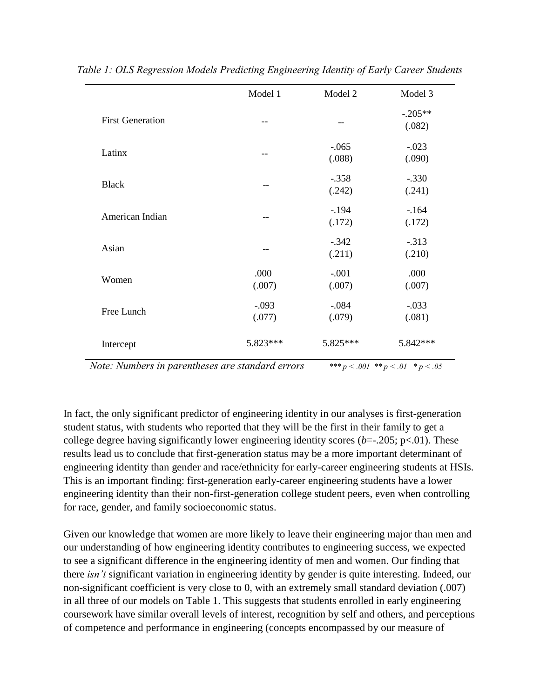|                         | Model 1    | Model 2  | Model 3   |
|-------------------------|------------|----------|-----------|
| <b>First Generation</b> | --         |          | $-.205**$ |
|                         |            |          | (.082)    |
| Latinx                  | --         | $-.065$  | $-.023$   |
|                         |            | (.088)   | (.090)    |
| <b>Black</b>            |            | $-.358$  | $-.330$   |
|                         |            | (.242)   | (.241)    |
| American Indian         |            | $-.194$  | $-164$    |
|                         |            | (.172)   | (.172)    |
| Asian                   |            | $-.342$  | $-.313$   |
|                         |            | (.211)   | (.210)    |
| Women                   | .000       | $-.001$  | .000      |
|                         | (.007)     | (.007)   | (.007)    |
| Free Lunch              | $-.093$    | $-.084$  | $-.033$   |
|                         | (.077)     | (.079)   | (.081)    |
| Intercept               | $5.823***$ | 5.825*** | 5.842 *** |

*Table 1: OLS Regression Models Predicting Engineering Identity of Early Career Students*

*Note: Numbers in parentheses are standard errors*  $*^{**}p < .001 * p < .01 * p < .05$ 

In fact, the only significant predictor of engineering identity in our analyses is first-generation student status, with students who reported that they will be the first in their family to get a college degree having significantly lower engineering identity scores (*b*=-.205; p<.01). These results lead us to conclude that first-generation status may be a more important determinant of engineering identity than gender and race/ethnicity for early-career engineering students at HSIs. This is an important finding: first-generation early-career engineering students have a lower engineering identity than their non-first-generation college student peers, even when controlling for race, gender, and family socioeconomic status.

Given our knowledge that women are more likely to leave their engineering major than men and our understanding of how engineering identity contributes to engineering success, we expected to see a significant difference in the engineering identity of men and women. Our finding that there *isn't* significant variation in engineering identity by gender is quite interesting. Indeed, our non-significant coefficient is very close to 0, with an extremely small standard deviation (.007) in all three of our models on Table 1. This suggests that students enrolled in early engineering coursework have similar overall levels of interest, recognition by self and others, and perceptions of competence and performance in engineering (concepts encompassed by our measure of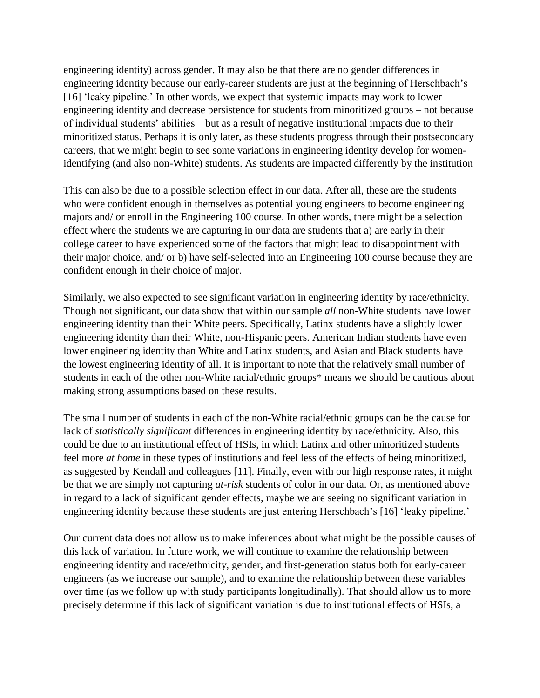engineering identity) across gender. It may also be that there are no gender differences in engineering identity because our early-career students are just at the beginning of Herschbach's [16] 'leaky pipeline.' In other words, we expect that systemic impacts may work to lower engineering identity and decrease persistence for students from minoritized groups – not because of individual students' abilities – but as a result of negative institutional impacts due to their minoritized status. Perhaps it is only later, as these students progress through their postsecondary careers, that we might begin to see some variations in engineering identity develop for womenidentifying (and also non-White) students. As students are impacted differently by the institution

This can also be due to a possible selection effect in our data. After all, these are the students who were confident enough in themselves as potential young engineers to become engineering majors and/ or enroll in the Engineering 100 course. In other words, there might be a selection effect where the students we are capturing in our data are students that a) are early in their college career to have experienced some of the factors that might lead to disappointment with their major choice, and/ or b) have self-selected into an Engineering 100 course because they are confident enough in their choice of major.

Similarly, we also expected to see significant variation in engineering identity by race/ethnicity. Though not significant, our data show that within our sample *all* non-White students have lower engineering identity than their White peers. Specifically, Latinx students have a slightly lower engineering identity than their White, non-Hispanic peers. American Indian students have even lower engineering identity than White and Latinx students, and Asian and Black students have the lowest engineering identity of all. It is important to note that the relatively small number of students in each of the other non-White racial/ethnic groups\* means we should be cautious about making strong assumptions based on these results.

The small number of students in each of the non-White racial/ethnic groups can be the cause for lack of *statistically significant* differences in engineering identity by race/ethnicity. Also, this could be due to an institutional effect of HSIs, in which Latinx and other minoritized students feel more *at home* in these types of institutions and feel less of the effects of being minoritized, as suggested by Kendall and colleagues [11]. Finally, even with our high response rates, it might be that we are simply not capturing *at-risk* students of color in our data. Or, as mentioned above in regard to a lack of significant gender effects, maybe we are seeing no significant variation in engineering identity because these students are just entering Herschbach's [16] 'leaky pipeline.'

Our current data does not allow us to make inferences about what might be the possible causes of this lack of variation. In future work, we will continue to examine the relationship between engineering identity and race/ethnicity, gender, and first-generation status both for early-career engineers (as we increase our sample), and to examine the relationship between these variables over time (as we follow up with study participants longitudinally). That should allow us to more precisely determine if this lack of significant variation is due to institutional effects of HSIs, a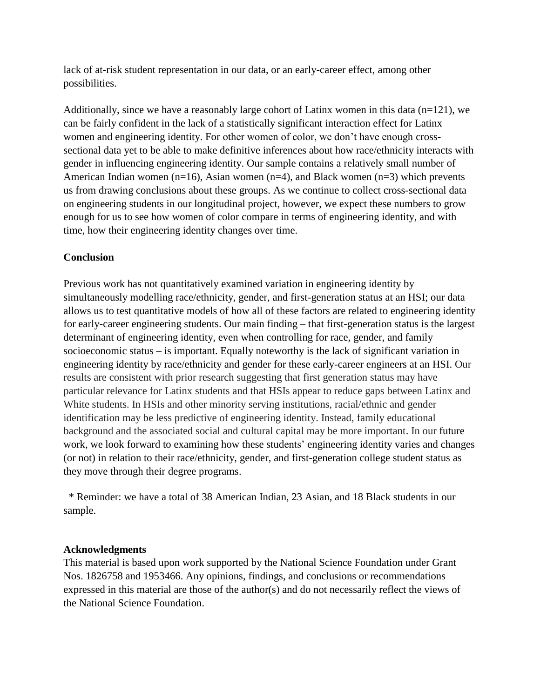lack of at-risk student representation in our data, or an early-career effect, among other possibilities.

Additionally, since we have a reasonably large cohort of Latinx women in this data  $(n=121)$ , we can be fairly confident in the lack of a statistically significant interaction effect for Latinx women and engineering identity. For other women of color, we don't have enough crosssectional data yet to be able to make definitive inferences about how race/ethnicity interacts with gender in influencing engineering identity. Our sample contains a relatively small number of American Indian women (n=16), Asian women (n=4), and Black women (n=3) which prevents us from drawing conclusions about these groups. As we continue to collect cross-sectional data on engineering students in our longitudinal project, however, we expect these numbers to grow enough for us to see how women of color compare in terms of engineering identity, and with time, how their engineering identity changes over time.

## **Conclusion**

Previous work has not quantitatively examined variation in engineering identity by simultaneously modelling race/ethnicity, gender, and first-generation status at an HSI; our data allows us to test quantitative models of how all of these factors are related to engineering identity for early-career engineering students. Our main finding – that first-generation status is the largest determinant of engineering identity, even when controlling for race, gender, and family socioeconomic status – is important. Equally noteworthy is the lack of significant variation in engineering identity by race/ethnicity and gender for these early-career engineers at an HSI. Our results are consistent with prior research suggesting that first generation status may have particular relevance for Latinx students and that HSIs appear to reduce gaps between Latinx and White students. In HSIs and other minority serving institutions, racial/ethnic and gender identification may be less predictive of engineering identity. Instead, family educational background and the associated social and cultural capital may be more important. In our future work, we look forward to examining how these students' engineering identity varies and changes (or not) in relation to their race/ethnicity, gender, and first-generation college student status as they move through their degree programs.

\* Reminder: we have a total of 38 American Indian, 23 Asian, and 18 Black students in our sample.

#### **Acknowledgments**

This material is based upon work supported by the National Science Foundation under Grant Nos. 1826758 and 1953466. Any opinions, findings, and conclusions or recommendations expressed in this material are those of the author(s) and do not necessarily reflect the views of the National Science Foundation.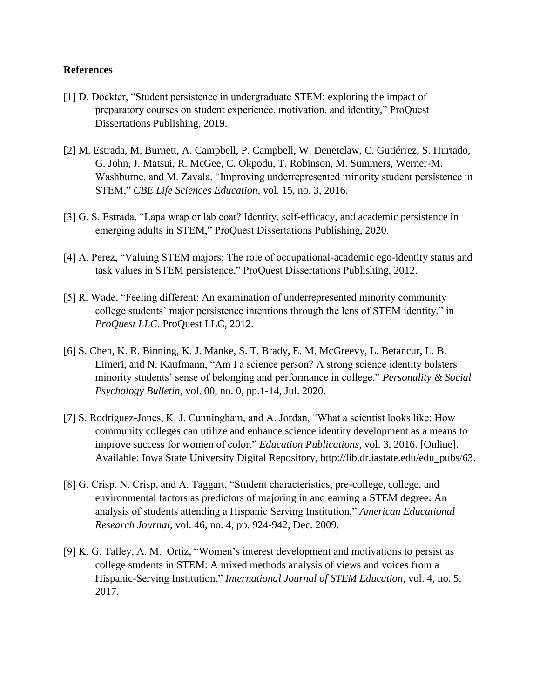#### **References**

- [1] D. Dockter, "Student persistence in undergraduate STEM: exploring the impact of preparatory courses on student experience, motivation, and identity," ProQuest Dissertations Publishing, 2019.
- [2] M. Estrada, M. Burnett, A. Campbell, P. Campbell, W. Denetclaw, C. Gutiérrez, S. Hurtado, G. John, J. Matsui, R. McGee, C. Okpodu, T. Robinson, M. Summers, Werner-M. Washburne, and M. Zavala, "Improving underrepresented minority student persistence in STEM," *CBE Life Sciences Education,* vol. 15, no. 3, 2016.
- [3] G. S. Estrada, "Lapa wrap or lab coat? Identity, self-efficacy, and academic persistence in emerging adults in STEM," ProQuest Dissertations Publishing, 2020.
- [4] A. Perez, "Valuing STEM majors: The role of occupational-academic ego-identity status and task values in STEM persistence," ProQuest Dissertations Publishing, 2012.
- [5] R. Wade, "Feeling different: An examination of underrepresented minority community college students' major persistence intentions through the lens of STEM identity," in *ProQuest LLC*. ProQuest LLC, 2012.
- [6] S. Chen, K. R. Binning, K. J. Manke, S. T. Brady, E. M. McGreevy, L. Betancur, L. B. Limeri, and N. Kaufmann, "Am I a science person? A strong science identity bolsters minority students' sense of belonging and performance in college," *Personality & Social Psychology Bulletin,* vol. 00, no. 0, pp.1-14, Jul. 2020.
- [7] S. Rodriguez-Jones, K. J. Cunningham, and A. Jordan, "What a scientist looks like: How community colleges can utilize and enhance science identity development as a means to improve success for women of color," *Education Publications,* vol. 3, 2016. [Online]. Available: Iowa State University Digital Repository, http://lib.dr.iastate.edu/edu\_pubs/63.
- [8] G. Crisp, N. Crisp, and A. Taggart, "Student characteristics, pre-college, college, and environmental factors as predictors of majoring in and earning a STEM degree: An analysis of students attending a Hispanic Serving Institution," *American Educational Research Journal,* vol. 46, no. 4, pp. 924-942, Dec. 2009.
- [9] K. G. Talley, A. M. Ortiz, "Women's interest development and motivations to persist as college students in STEM: A mixed methods analysis of views and voices from a Hispanic-Serving Institution," *International Journal of STEM Education,* vol. 4, no. 5, 2017.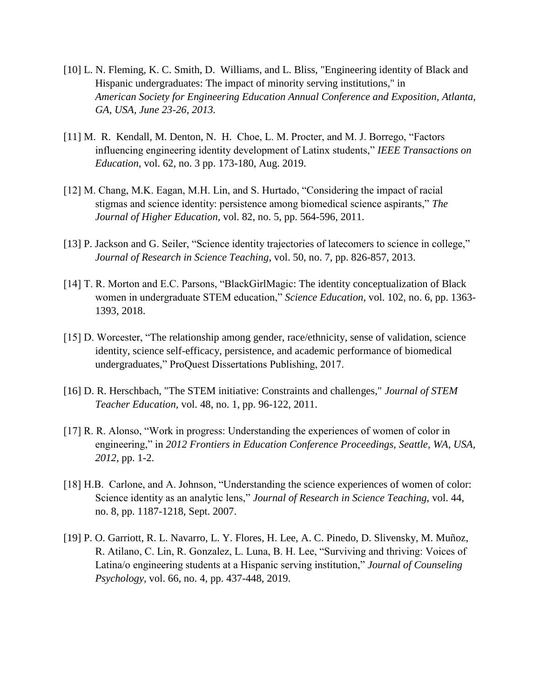- [10] L. N. Fleming, K. C. Smith, D. Williams, and L. Bliss, "Engineering identity of Black and Hispanic undergraduates: The impact of minority serving institutions," in *American Society for Engineering Education Annual Conference and Exposition, Atlanta, GA, USA, June 23-26, 2013.*
- [11] M. R. Kendall, M. Denton, N. H. Choe, L. M. Procter, and M. J. Borrego, "Factors influencing engineering identity development of Latinx students," *IEEE Transactions on Education*, vol. 62, no. 3 pp. 173-180, Aug. 2019.
- [12] M. Chang, M.K. Eagan, M.H. Lin, and S. Hurtado, "Considering the impact of racial stigmas and science identity: persistence among biomedical science aspirants," *The Journal of Higher Education,* vol. 82, no. 5, pp. 564-596, 2011.
- [13] P. Jackson and G. Seiler, "Science identity trajectories of latecomers to science in college," *Journal of Research in Science Teaching*, vol. 50, no. 7, pp. 826-857, 2013.
- [14] T. R. Morton and E.C. Parsons, "BlackGirlMagic: The identity conceptualization of Black women in undergraduate STEM education," *Science Education,* vol. 102, no. 6, pp. 1363- 1393, 2018.
- [15] D. Worcester, "The relationship among gender, race/ethnicity, sense of validation, science identity, science self-efficacy, persistence, and academic performance of biomedical undergraduates," ProQuest Dissertations Publishing, 2017.
- [16] D. R. Herschbach, "The STEM initiative: Constraints and challenges," *Journal of STEM Teacher Education,* vol. 48, no. 1, pp. 96-122, 2011.
- [17] R. R. Alonso, "Work in progress: Understanding the experiences of women of color in engineering," in *2012 Frontiers in Education Conference Proceedings, Seattle, WA, USA, 2012*, pp. 1-2.
- [18] H.B. Carlone, and A. Johnson, "Understanding the science experiences of women of color: Science identity as an analytic lens," *Journal of Research in Science Teaching,* vol. 44, no. 8, pp. 1187-1218, Sept. 2007.
- [19] P. O. Garriott, R. L. Navarro, L. Y. Flores, H. Lee, A. C. Pinedo, D. Slivensky, M. Muñoz, R. Atilano, C. Lin, R. Gonzalez, L. Luna, B. H. Lee, "Surviving and thriving: Voices of Latina/o engineering students at a Hispanic serving institution," *Journal of Counseling Psychology*, vol. 66, no. 4, pp. 437-448, 2019.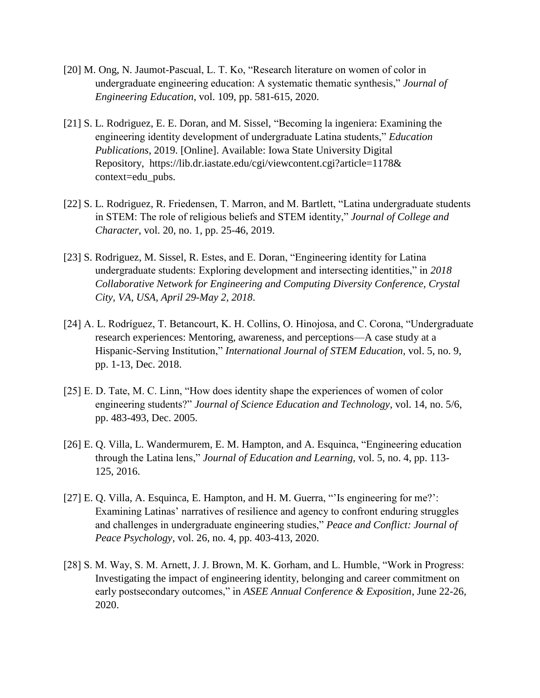- [20] M. Ong, N. Jaumot-Pascual, L. T. Ko, "Research literature on women of color in undergraduate engineering education: A systematic thematic synthesis," *Journal of Engineering Education*, vol. 109, pp. 581-615, 2020.
- [21] S. L. Rodriguez, E. E. Doran, and M. Sissel, "Becoming la ingeniera: Examining the engineering identity development of undergraduate Latina students," *Education Publications*, 2019. [Online]. Available: Iowa State University Digital Repository, https://lib.dr.iastate.edu/cgi/viewcontent.cgi?article=1178& context=edu\_pubs.
- [22] S. L. Rodriguez, R. Friedensen, T. Marron, and M. Bartlett, "Latina undergraduate students in STEM: The role of religious beliefs and STEM identity," *Journal of College and Character,* vol. 20, no. 1, pp. 25-46, 2019.
- [23] S. Rodriguez, M. Sissel, R. Estes, and E. Doran, "Engineering identity for Latina undergraduate students: Exploring development and intersecting identities," in *2018 Collaborative Network for Engineering and Computing Diversity Conference, Crystal City, VA, USA, April 29-May 2, 2018*.
- [24] A. L. Rodríguez, T. Betancourt, K. H. Collins, O. Hinojosa, and C. Corona, "Undergraduate research experiences: Mentoring, awareness, and perceptions—A case study at a Hispanic-Serving Institution," *International Journal of STEM Education,* vol. 5, no. 9, pp. 1-13, Dec. 2018.
- [25] E. D. Tate, M. C. Linn, "How does identity shape the experiences of women of color engineering students?" *Journal of Science Education and Technology,* vol. 14, no. 5/6, pp. 483-493, Dec. 2005.
- [26] E. Q. Villa, L. Wandermurem, E. M. Hampton, and A. Esquinca, "Engineering education through the Latina lens," *Journal of Education and Learning,* vol. 5, no. 4, pp. 113- 125, 2016.
- [27] E. Q. Villa, A. Esquinca, E. Hampton, and H. M. Guerra, "'Is engineering for me?': Examining Latinas' narratives of resilience and agency to confront enduring struggles and challenges in undergraduate engineering studies," *Peace and Conflict: Journal of Peace Psychology,* vol. 26, no. 4, pp. 403-413, 2020.
- [28] S. M. Way, S. M. Arnett, J. J. Brown, M. K. Gorham, and L. Humble, "Work in Progress: Investigating the impact of engineering identity, belonging and career commitment on early postsecondary outcomes," in *ASEE Annual Conference & Exposition*, June 22-26, 2020.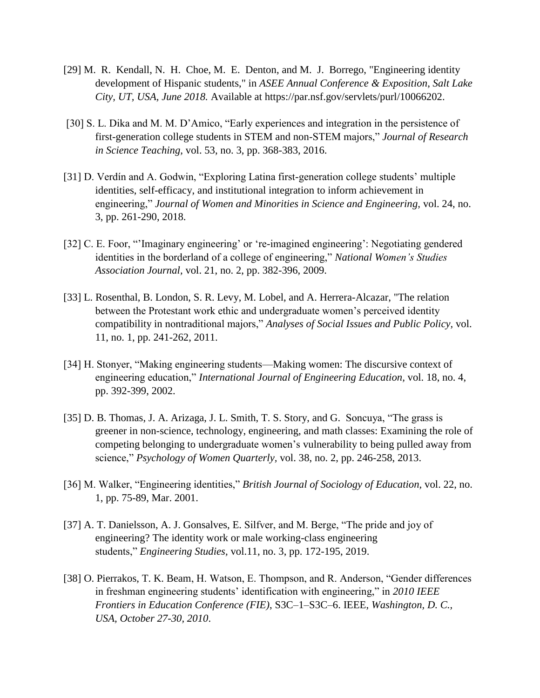- [29] M. R. Kendall, N. H. Choe, M. E. Denton, and M. J. Borrego, "Engineering identity development of Hispanic students," in *ASEE Annual Conference & Exposition*, *Salt Lake City, UT, USA, June 2018.* Available at [https://par.nsf.gov/servlets/purl/10066202.](https://par.nsf.gov/servlets/purl/10066202)
- [30] S. L. Dika and M. M. D'Amico, "Early experiences and integration in the persistence of first-generation college students in STEM and non-STEM majors," *Journal of Research in Science Teaching,* vol. 53, no. 3, pp. 368-383, 2016.
- [31] D. Verdín and A. Godwin, "Exploring Latina first-generation college students' multiple identities, self-efficacy, and institutional integration to inform achievement in engineering," *Journal of Women and Minorities in Science and Engineering,* vol. 24, no. 3, pp. 261-290, 2018.
- [32] C. E. Foor, "'Imaginary engineering' or 're-imagined engineering': Negotiating gendered identities in the borderland of a college of engineering," *National Women's Studies Association Journal,* vol. 21, no. 2, pp. 382-396, 2009.
- [33] L. Rosenthal, B. London, S. R. Levy, M. Lobel, and A. Herrera-Alcazar, "The relation between the Protestant work ethic and undergraduate women's perceived identity compatibility in nontraditional majors," *Analyses of Social Issues and Public Policy,* vol. 11, no. 1, pp. 241-262, 2011.
- [34] H. Stonyer, "Making engineering students—Making women: The discursive context of engineering education," *International Journal of Engineering Education,* vol. 18, no. 4, pp. 392-399, 2002.
- [35] D. B. Thomas, J. A. Arizaga, J. L. Smith, T. S. Story, and G. Soncuya, "The grass is greener in non-science, technology, engineering, and math classes: Examining the role of competing belonging to undergraduate women's vulnerability to being pulled away from science," *Psychology of Women Quarterly,* vol. 38, no. 2, pp. 246-258, 2013.
- [36] M. Walker, "Engineering identities," *British Journal of Sociology of Education,* vol. 22, no. 1, pp. 75-89, Mar. 2001.
- [37] A. T. Danielsson, A. J. Gonsalves, E. Silfver, and M. Berge, "The pride and joy of engineering? The identity work or male working-class engineering students," *Engineering Studies,* vol.11, no. 3, pp. 172-195, 2019.
- [38] O. Pierrakos, T. K. Beam, H. Watson, E. Thompson, and R. Anderson, "Gender differences in freshman engineering students' identification with engineering," in *2010 IEEE Frontiers in Education Conference (FIE)*, S3C–1–S3C–6. IEEE, *Washington, D. C., USA, October 27-30, 2010*.